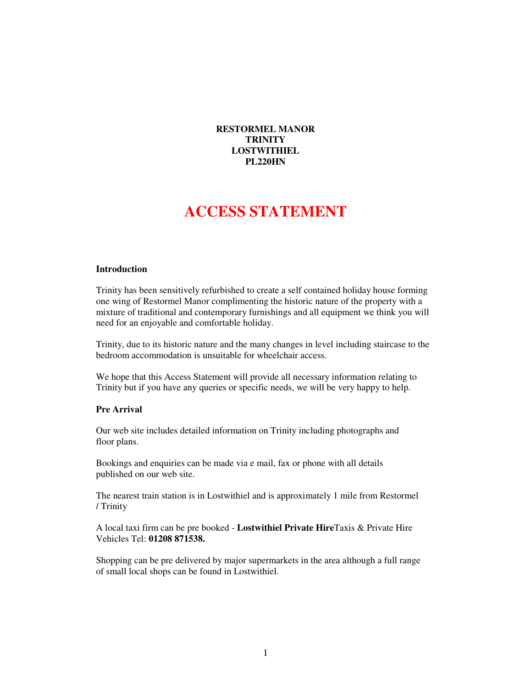**RESTORMEL MANOR TRINITY LOSTWITHIEL PL220HN** 

# **ACCESS STATEMENT**

#### **Introduction**

Trinity has been sensitively refurbished to create a self contained holiday house forming one wing of Restormel Manor complimenting the historic nature of the property with a mixture of traditional and contemporary furnishings and all equipment we think you will need for an enjoyable and comfortable holiday.

Trinity, due to its historic nature and the many changes in level including staircase to the bedroom accommodation is unsuitable for wheelchair access.

We hope that this Access Statement will provide all necessary information relating to Trinity but if you have any queries or specific needs, we will be very happy to help.

## **Pre Arrival**

Our web site includes detailed information on Trinity including photographs and floor plans.

Bookings and enquiries can be made via e mail, fax or phone with all details published on our web site.

The nearest train station is in Lostwithiel and is approximately 1 mile from Restormel / Trinity

A local taxi firm can be pre booked - **Lostwithiel Private Hire**Taxis & Private Hire Vehicles Tel: **01208 871538.** 

Shopping can be pre delivered by major supermarkets in the area although a full range of small local shops can be found in Lostwithiel.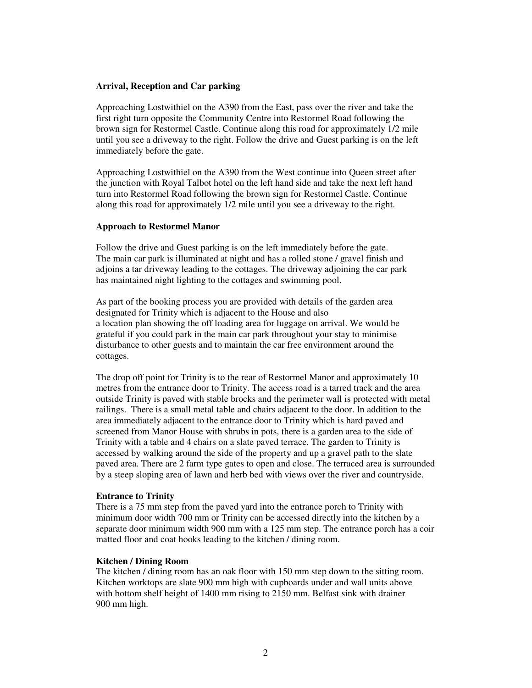#### **Arrival, Reception and Car parking**

Approaching Lostwithiel on the A390 from the East, pass over the river and take the first right turn opposite the Community Centre into Restormel Road following the brown sign for Restormel Castle. Continue along this road for approximately 1/2 mile until you see a driveway to the right. Follow the drive and Guest parking is on the left immediately before the gate.

Approaching Lostwithiel on the A390 from the West continue into Queen street after the junction with Royal Talbot hotel on the left hand side and take the next left hand turn into Restormel Road following the brown sign for Restormel Castle. Continue along this road for approximately 1/2 mile until you see a driveway to the right.

#### **Approach to Restormel Manor**

Follow the drive and Guest parking is on the left immediately before the gate. The main car park is illuminated at night and has a rolled stone / gravel finish and adjoins a tar driveway leading to the cottages. The driveway adjoining the car park has maintained night lighting to the cottages and swimming pool.

As part of the booking process you are provided with details of the garden area designated for Trinity which is adjacent to the House and also a location plan showing the off loading area for luggage on arrival. We would be grateful if you could park in the main car park throughout your stay to minimise disturbance to other guests and to maintain the car free environment around the cottages.

The drop off point for Trinity is to the rear of Restormel Manor and approximately 10 metres from the entrance door to Trinity. The access road is a tarred track and the area outside Trinity is paved with stable brocks and the perimeter wall is protected with metal railings. There is a small metal table and chairs adjacent to the door. In addition to the area immediately adjacent to the entrance door to Trinity which is hard paved and screened from Manor House with shrubs in pots, there is a garden area to the side of Trinity with a table and 4 chairs on a slate paved terrace. The garden to Trinity is accessed by walking around the side of the property and up a gravel path to the slate paved area. There are 2 farm type gates to open and close. The terraced area is surrounded by a steep sloping area of lawn and herb bed with views over the river and countryside.

#### **Entrance to Trinity**

There is a 75 mm step from the paved yard into the entrance porch to Trinity with minimum door width 700 mm or Trinity can be accessed directly into the kitchen by a separate door minimum width 900 mm with a 125 mm step. The entrance porch has a coir matted floor and coat hooks leading to the kitchen / dining room.

#### **Kitchen / Dining Room**

The kitchen / dining room has an oak floor with 150 mm step down to the sitting room. Kitchen worktops are slate 900 mm high with cupboards under and wall units above with bottom shelf height of 1400 mm rising to 2150 mm. Belfast sink with drainer 900 mm high.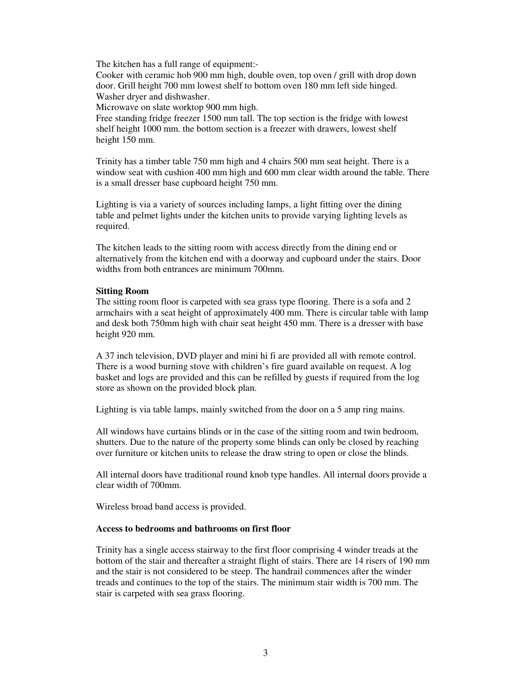The kitchen has a full range of equipment:-

Cooker with ceramic hob 900 mm high, double oven, top oven / grill with drop down door. Grill height 700 mm lowest shelf to bottom oven 180 mm left side hinged. Washer dryer and dishwasher.

Microwave on slate worktop 900 mm high.

Free standing fridge freezer 1500 mm tall. The top section is the fridge with lowest shelf height 1000 mm. the bottom section is a freezer with drawers, lowest shelf height 150 mm.

Trinity has a timber table 750 mm high and 4 chairs 500 mm seat height. There is a window seat with cushion 400 mm high and 600 mm clear width around the table. There is a small dresser base cupboard height 750 mm.

Lighting is via a variety of sources including lamps, a light fitting over the dining table and pelmet lights under the kitchen units to provide varying lighting levels as required.

The kitchen leads to the sitting room with access directly from the dining end or alternatively from the kitchen end with a doorway and cupboard under the stairs. Door widths from both entrances are minimum 700mm.

#### **Sitting Room**

The sitting room floor is carpeted with sea grass type flooring. There is a sofa and 2 armchairs with a seat height of approximately 400 mm. There is circular table with lamp and desk both 750mm high with chair seat height 450 mm. There is a dresser with base height 920 mm.

A 37 inch television, DVD player and mini hi fi are provided all with remote control. There is a wood burning stove with children's fire guard available on request. A log basket and logs are provided and this can be refilled by guests if required from the log store as shown on the provided block plan.

Lighting is via table lamps, mainly switched from the door on a 5 amp ring mains.

All windows have curtains blinds or in the case of the sitting room and twin bedroom, shutters. Due to the nature of the property some blinds can only be closed by reaching over furniture or kitchen units to release the draw string to open or close the blinds.

All internal doors have traditional round knob type handles. All internal doors provide a clear width of 700mm.

Wireless broad band access is provided.

#### **Access to bedrooms and bathrooms on first floor**

Trinity has a single access stairway to the first floor comprising 4 winder treads at the bottom of the stair and thereafter a straight flight of stairs. There are 14 risers of 190 mm and the stair is not considered to be steep. The handrail commences after the winder treads and continues to the top of the stairs. The minimum stair width is 700 mm. The stair is carpeted with sea grass flooring.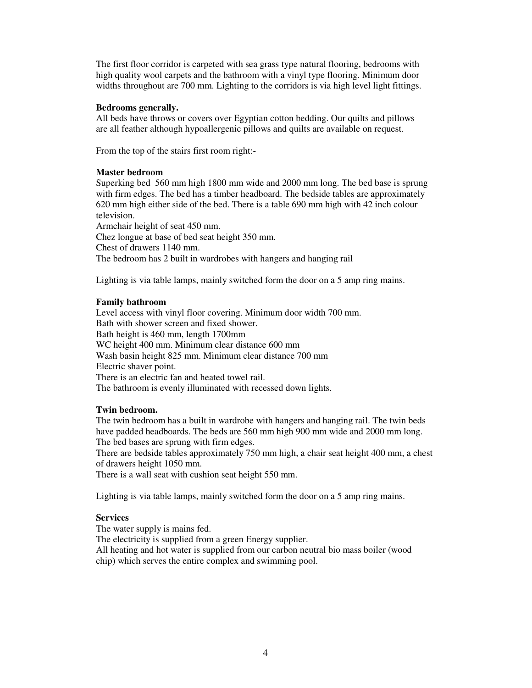The first floor corridor is carpeted with sea grass type natural flooring, bedrooms with high quality wool carpets and the bathroom with a vinyl type flooring. Minimum door widths throughout are 700 mm. Lighting to the corridors is via high level light fittings.

#### **Bedrooms generally.**

All beds have throws or covers over Egyptian cotton bedding. Our quilts and pillows are all feather although hypoallergenic pillows and quilts are available on request.

From the top of the stairs first room right:-

### **Master bedroom**

Superking bed 560 mm high 1800 mm wide and 2000 mm long. The bed base is sprung with firm edges. The bed has a timber headboard. The bedside tables are approximately 620 mm high either side of the bed. There is a table 690 mm high with 42 inch colour television.

Armchair height of seat 450 mm. Chez longue at base of bed seat height 350 mm. Chest of drawers 1140 mm. The bedroom has 2 built in wardrobes with hangers and hanging rail

Lighting is via table lamps, mainly switched form the door on a 5 amp ring mains.

### **Family bathroom**

Level access with vinyl floor covering. Minimum door width 700 mm. Bath with shower screen and fixed shower. Bath height is 460 mm, length 1700mm WC height 400 mm. Minimum clear distance 600 mm Wash basin height 825 mm. Minimum clear distance 700 mm Electric shaver point. There is an electric fan and heated towel rail. The bathroom is evenly illuminated with recessed down lights.

#### **Twin bedroom.**

The twin bedroom has a built in wardrobe with hangers and hanging rail. The twin beds have padded headboards. The beds are 560 mm high 900 mm wide and 2000 mm long. The bed bases are sprung with firm edges.

There are bedside tables approximately 750 mm high, a chair seat height 400 mm, a chest of drawers height 1050 mm.

There is a wall seat with cushion seat height 550 mm.

Lighting is via table lamps, mainly switched form the door on a 5 amp ring mains.

## **Services**

The water supply is mains fed.

The electricity is supplied from a green Energy supplier.

All heating and hot water is supplied from our carbon neutral bio mass boiler (wood chip) which serves the entire complex and swimming pool.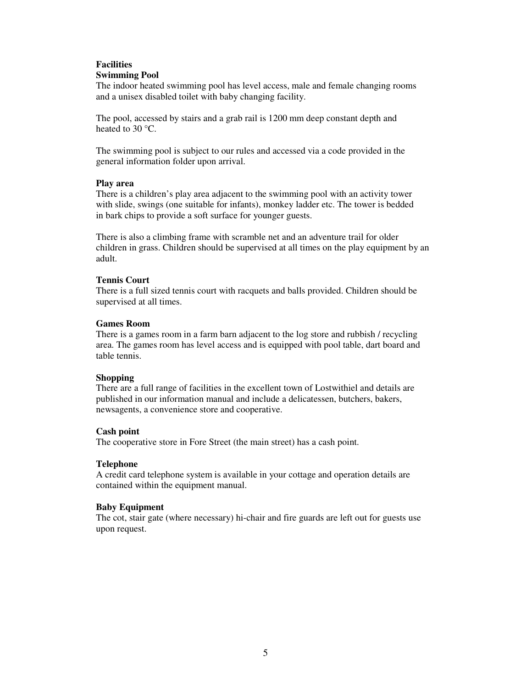### **Facilities Swimming Pool**

The indoor heated swimming pool has level access, male and female changing rooms and a unisex disabled toilet with baby changing facility.

The pool, accessed by stairs and a grab rail is 1200 mm deep constant depth and heated to 30 °C.

The swimming pool is subject to our rules and accessed via a code provided in the general information folder upon arrival.

#### **Play area**

There is a children's play area adjacent to the swimming pool with an activity tower with slide, swings (one suitable for infants), monkey ladder etc. The tower is bedded in bark chips to provide a soft surface for younger guests.

There is also a climbing frame with scramble net and an adventure trail for older children in grass. Children should be supervised at all times on the play equipment by an adult.

### **Tennis Court**

There is a full sized tennis court with racquets and balls provided. Children should be supervised at all times.

#### **Games Room**

There is a games room in a farm barn adjacent to the log store and rubbish / recycling area. The games room has level access and is equipped with pool table, dart board and table tennis.

## **Shopping**

There are a full range of facilities in the excellent town of Lostwithiel and details are published in our information manual and include a delicatessen, butchers, bakers, newsagents, a convenience store and cooperative.

## **Cash point**

The cooperative store in Fore Street (the main street) has a cash point.

## **Telephone**

A credit card telephone system is available in your cottage and operation details are contained within the equipment manual.

## **Baby Equipment**

The cot, stair gate (where necessary) hi-chair and fire guards are left out for guests use upon request.